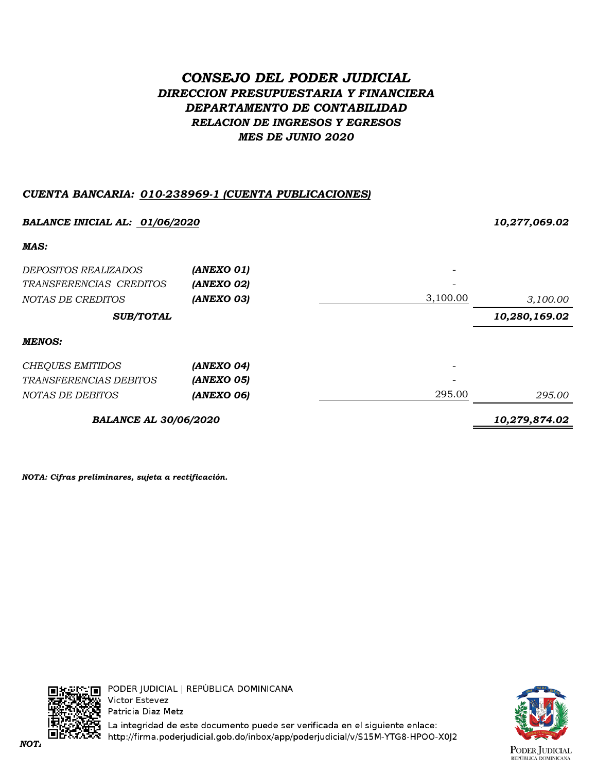# *CONSEJO DEL PODER JUDICIAL DIRECCION PRESUPUESTARIA Y FINANCIERA DEPARTAMENTO DE CONTABILIDAD RELACION DE INGRESOS Y EGRESOS MES DE JUNIO 2020*

### *CUENTA BANCARIA: 010-238969-1 (CUENTA PUBLICACIONES)*

| BALANCE INICIAL AL: 01/06/2020 |               |          | 10,277,069.02 |
|--------------------------------|---------------|----------|---------------|
| MAS:                           |               |          |               |
| <i>DEPOSITOS REALIZADOS</i>    | (ANEXO 01)    |          |               |
| TRANSFERENCIAS CREDITOS        | (ANEXO 02)    |          |               |
| NOTAS DE CREDITOS              | (ANEXO 03)    | 3,100.00 | 3,100.00      |
| <b>SUB/TOTAL</b>               |               |          | 10,280,169.02 |
| <b>MENOS:</b>                  |               |          |               |
| <b>CHEQUES EMITIDOS</b>        | (ANEXO 04)    |          |               |
| TRANSFERENCIAS DEBITOS         | (ANEXO 05)    |          |               |
| NOTAS DE DEBITOS               | (ANEXO 06)    | 295.00   | 295.00        |
| <b>BALANCE AL 30/06/2020</b>   | 10,279,874.02 |          |               |

*NOTA: Cifras preliminares, sujeta a rectificación.*



La integridad de este documento puede ser verificada en el siguiente enlace: *NOTA: Cifras preliminares, sujetas a rectificación.*

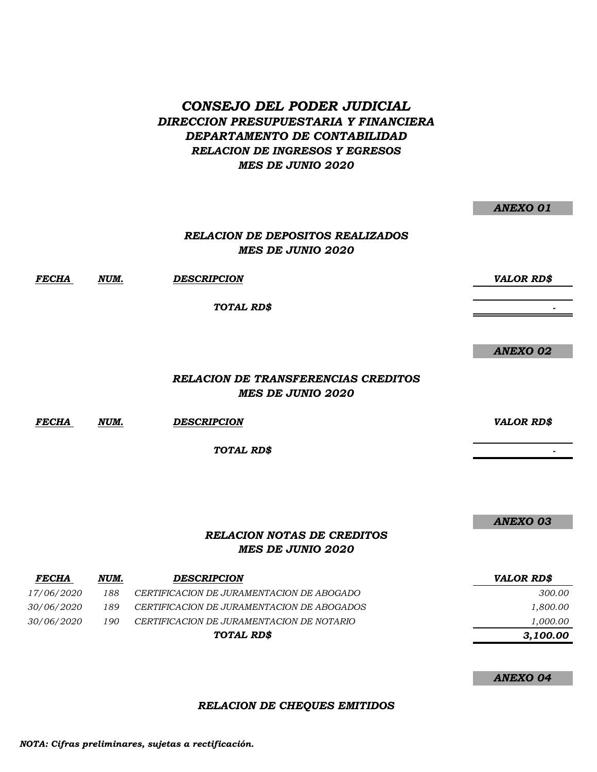## *CONSEJO DEL PODER JUDICIAL DIRECCION PRESUPUESTARIA Y FINANCIERA DEPARTAMENTO DE CONTABILIDAD RELACION DE INGRESOS Y EGRESOS MES DE JUNIO 2020*

|              |      | <b>RELACION DE DEPOSITOS REALIZADOS</b><br><b>MES DE JUNIO 2020</b>    |                   |
|--------------|------|------------------------------------------------------------------------|-------------------|
| <b>FECHA</b> | NUM. | <b>DESCRIPCION</b>                                                     | <b>VALOR RD\$</b> |
|              |      | TOTAL RD\$                                                             |                   |
|              |      |                                                                        |                   |
|              |      |                                                                        | <b>ANEXO 02</b>   |
|              |      | <b>RELACION DE TRANSFERENCIAS CREDITOS</b><br><b>MES DE JUNIO 2020</b> |                   |
| <b>FECHA</b> | NUM. | <b>DESCRIPCION</b>                                                     | <b>VALOR RD\$</b> |
|              |      | TOTAL RD\$                                                             |                   |
|              |      |                                                                        |                   |

*ANEXO 03*

*ANEXO 01*

### *RELACION NOTAS DE CREDITOS MES DE JUNIO 2020*

| <b>FECHA</b>      | NUM. | <b>DESCRIPCION</b>                         | <b>VALOR RD\$</b> |
|-------------------|------|--------------------------------------------|-------------------|
| <i>17/06/2020</i> | 188  | CERTIFICACION DE JURAMENTACION DE ABOGADO  | 300.00            |
| <i>30/06/2020</i> | 189  | CERTIFICACION DE JURAMENTACION DE ABOGADOS | 1,800.00          |
| <i>30/06/2020</i> | 190  | CERTIFICACION DE JURAMENTACION DE NOTARIO  | 1,000.00          |
|                   |      | TOTAL RD\$                                 | 3,100.00          |

*ANEXO 04*

*RELACION DE CHEQUES EMITIDOS*